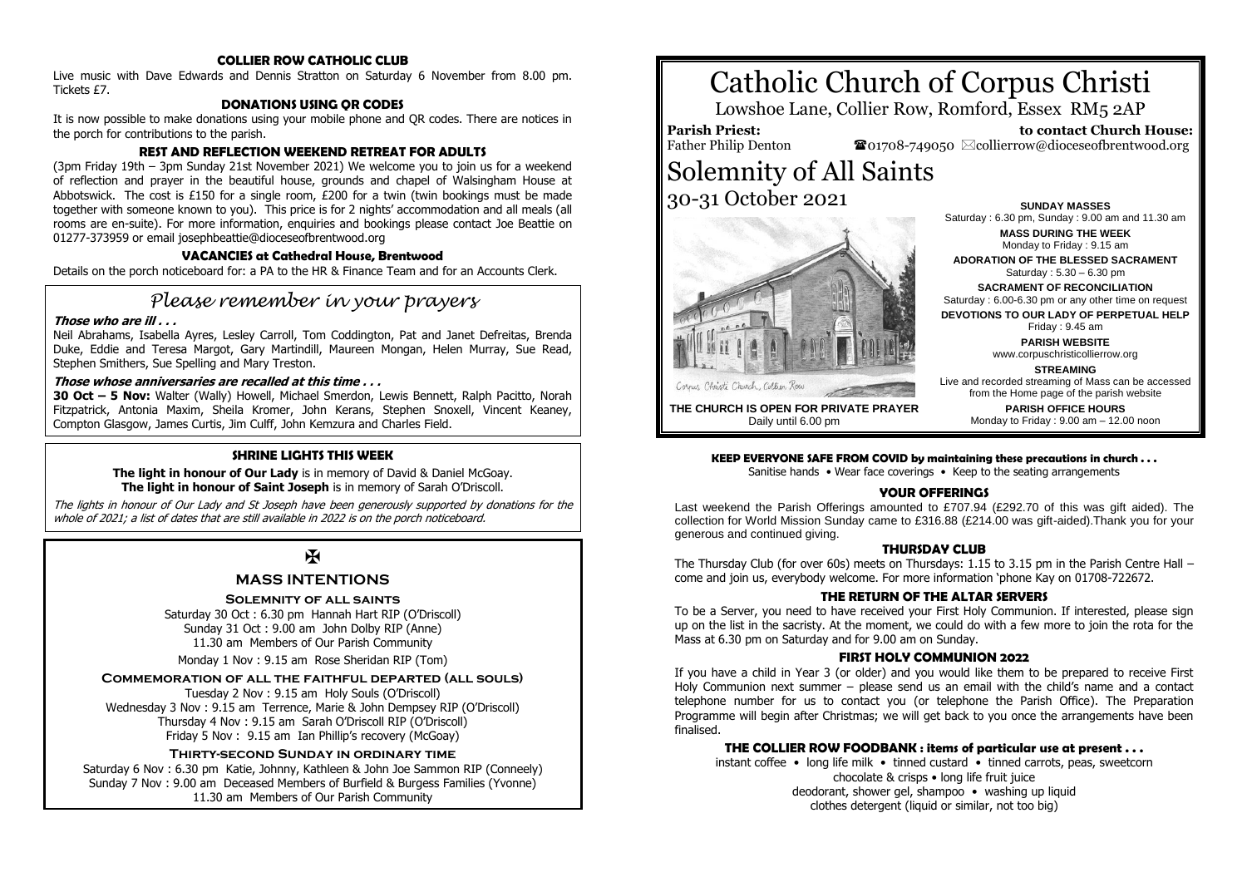#### **COLLIER ROW CATHOLIC CLUB**

Live music with Dave Edwards and Dennis Stratton on Saturday 6 November from 8.00 pm. Tickets £7.

#### **DONATIONS USING QR CODES**

It is now possible to make donations using your mobile phone and QR codes. There are notices in the porch for contributions to the parish.

#### **REST AND REFLECTION WEEKEND RETREAT FOR ADULTS**

(3pm Friday 19th – 3pm Sunday 21st November 2021) We welcome you to join us for a weekend of reflection and prayer in the beautiful house, grounds and chapel of Walsingham House at Abbotswick. The cost is £150 for a single room,  $E200$  for a twin (twin bookings must be made together with someone known to you). This price is for 2 nights' accommodation and all meals (all rooms are en-suite). For more information, enquiries and bookings please contact Joe Beattie on 01277-373959 or email josephbeattie@dioceseofbrentwood.org

#### **VACANCIES at Cathedral House, Brentwood**

Details on the porch noticeboard for: a PA to the HR & Finance Team and for an Accounts Clerk.

## *Please remember in your prayers*

#### **Those who are ill . . .**

Neil Abrahams, Isabella Ayres, Lesley Carroll, Tom Coddington, Pat and Janet Defreitas, Brenda Duke, Eddie and Teresa Margot, Gary Martindill, Maureen Mongan, Helen Murray, Sue Read, Stephen Smithers, Sue Spelling and Mary Treston.

#### **Those whose anniversaries are recalled at this time . . .**

**30 Oct – 5 Nov:** Walter (Wally) Howell, Michael Smerdon, Lewis Bennett, Ralph Pacitto, Norah Fitzpatrick, Antonia Maxim, Sheila Kromer, John Kerans, Stephen Snoxell, Vincent Keaney, Compton Glasgow, James Curtis, Jim Culff, John Kemzura and Charles Field.

#### **SHRINE LIGHTS THIS WEEK**

**The light in honour of Our Lady** is in memory of David & Daniel McGoay. **The light in honour of Saint Joseph** is in memory of Sarah O'Driscoll.

The lights in honour of Our Lady and St Joseph have been generously supported by donations for the whole of 2021; a list of dates that are still available in 2022 is on the porch noticeboard.

## $\mathbf F$

#### **MASS INTENTIONS**

#### **Solemnity of all saints**

Saturday 30 Oct : 6.30 pm Hannah Hart RIP (O'Driscoll) Sunday 31 Oct : 9.00 am John Dolby RIP (Anne) 11.30 am Members of Our Parish Community

Monday 1 Nov : 9.15 am Rose Sheridan RIP (Tom)

#### **Commemoration of all the faithful departed (all souls)**

Tuesday 2 Nov : 9.15 am Holy Souls (O'Driscoll) Wednesday 3 Nov : 9.15 am Terrence, Marie & John Dempsey RIP (O'Driscoll) Thursday 4 Nov : 9.15 am Sarah O'Driscoll RIP (O'Driscoll) Friday 5 Nov : 9.15 am Ian Phillip's recovery (McGoay)

#### **Thirty-second Sunday in ordinary time**

Saturday 6 Nov : 6.30 pm Katie, Johnny, Kathleen & John Joe Sammon RIP (Conneely) Sunday 7 Nov : 9.00 am Deceased Members of Burfield & Burgess Families (Yvonne) 11.30 am Members of Our Parish Community

# Catholic Church of Corpus Christi

Lowshoe Lane, Collier Row, Romford, Essex RM5 2AP

**Parish Priest:** Father Philip Denton

 **to contact Church House:**  $\bullet$ 01708-749050  $\boxtimes$ collierrow@dioceseofbrentwood.org

## Solemnity of All Saints 30-31 October 2021



Saturday : 6.30 pm, Sunday : 9.00 am and 11.30 am **MASS DURING THE WEEK** Monday to Friday : 9.15 am **ADORATION OF THE BLESSED SACRAMENT** Saturday : 5.30 – 6.30 pm **SACRAMENT OF RECONCILIATION** Saturday : 6.00-6.30 pm or any other time on request **DEVOTIONS TO OUR LADY OF PERPETUAL HELP** Friday : 9.45 am **PARISH WEBSITE** www.corpuschristicollierrow.org **STREAMING** Live and recorded streaming of Mass can be accessed

**SUNDAY MASSES**

**THE CHURCH IS OPEN FOR PRIVATE PRAYER** Daily until 6.00 pm

#### from the Home page of the parish website **PARISH OFFICE HOURS** Monday to Friday : 9.00 am – 12.00 noon

#### **KEEP EVERYONE SAFE FROM COVID by maintaining these precautions in church . . .**

Sanitise hands • Wear face coverings • Keep to the seating arrangements

#### **YOUR OFFERINGS**

Last weekend the Parish Offerings amounted to £707.94 (£292.70 of this was gift aided). The collection for World Mission Sunday came to £316.88 (£214.00 was gift-aided).Thank you for your generous and continued giving.

#### **THURSDAY CLUB**

The Thursday Club (for over 60s) meets on Thursdays: 1.15 to 3.15 pm in the Parish Centre Hall – come and join us, everybody welcome. For more information 'phone Kay on 01708-722672.

#### **THE RETURN OF THE ALTAR SERVERS**

To be a Server, you need to have received your First Holy Communion. If interested, please sign up on the list in the sacristy. At the moment, we could do with a few more to join the rota for the Mass at 6.30 pm on Saturday and for 9.00 am on Sunday.

#### **FIRST HOLY COMMUNION 2022**

If you have a child in Year 3 (or older) and you would like them to be prepared to receive First Holy Communion next summer – please send us an email with the child's name and a contact telephone number for us to contact you (or telephone the Parish Office). The Preparation Programme will begin after Christmas; we will get back to you once the arrangements have been finalised.

#### **THE COLLIER ROW FOODBANK : items of particular use at present . . .**

instant coffee • long life milk • tinned custard • tinned carrots, peas, sweetcorn chocolate & crisps • long life fruit juice deodorant, shower gel, shampoo • washing up liquid clothes detergent (liquid or similar, not too big)